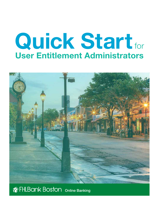# Quick Startfor User Entitlement Administrators



# **Ref FHLBank Boston** Online Banking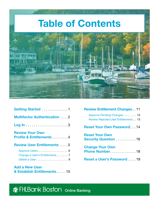

| Getting Started <b>Container Started</b> 1                    |
|---------------------------------------------------------------|
| <b>Multifactor Authentication 2</b>                           |
|                                                               |
| <b>Review Your Own</b><br><b>Profile &amp; Entitlements</b> 4 |
| <b>Review User Entitlements  5</b>                            |
| Approve Users 6<br>Change a User's Entitlements  7            |
| <b>Add a New User</b>                                         |

[& Establish Entitlements](#page-11-0) . . . . . 10

| <b>Review Entitlement Changes 11</b>                                       |
|----------------------------------------------------------------------------|
| Approve Pending Changes  12<br><b>Review Rejected User Entitlements 13</b> |
| <b>Reset Your Own Password  14</b>                                         |
| <b>Reset Your Own</b><br><b>Security Question  16</b>                      |
| <b>Change Your Own</b><br>Phone Number18                                   |
| Reset a User's Password 19                                                 |

# **The FHLBank Boston** Online Banking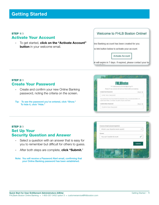#### <span id="page-2-0"></span>STEP 1/3 Activate Your Account

• To get started, click on the "Activate Account" **button** in your welcome email.

#### Welcome to FHI B Boston Online!

line Banking account has been created for you.

he link button below to activate your account.



ik will expire in 7 days. If expired, please contact your loo

#### STEP 2/3 Create Your Password

- Create and confirm your new Online Banking password, noting the criteria on the screen.
- Tip: To see the password you've entered, click "Show." To hide it, click "Hide."



#### **STEP 3/3** Set Up Your Security Question and Answer

- Select a question with an answer that is easy for you to remember but difficult for others to guess.
- After both steps are complete, click "Submit."

Note: You will receive a Password Alert email, confirming that your Online Banking password has been established.

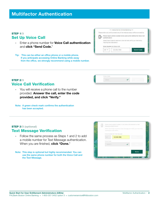#### <span id="page-3-0"></span>STEP 1/3 Set Up Voice Call

- Enter a phone number for **Voice Call authentication** and click "Send Code."
- Tip: This can be either an office phone or a mobile phone. If you anticipate accessing Online Banking while away from the office, we strongly recommend using a mobile number.





- You will receive a phone call to the number provided. Answer the call, enter the code provided, and click "Verify."
- Note: A green check mark confirms the authentication has been accepted.

#### STEP 3/3 (optional) Text Message Verification

- Follow the same process as Steps 1 and 2 to add a mobile number for Text Message authentication. When you are finished, click "Done."
- Note: This step is optional but highly recommended. You can use the same phone number for both the Voice Call and the Text Message.





**Director**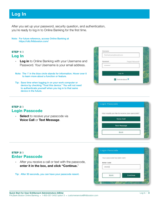## <span id="page-4-0"></span>Log In

After you set up your password, security question, and authentication, you're ready to log in to Online Banking for the first time.

Note: For future reference, access Online Banking at <https://olb.fhlbboston.com/>

#### STEP 1/3 Log In

**STEP 2/3** 

- Log in to Online Banking with your Username and Password. Your Username is your email address.
- Note: The 'i' in the blue circle stands for information. Hover over it to learn more about a function or feature.
- Tip: Save time when logging in on your work computer or device by checking "Trust this device." You will not need to authenticate yourself when you log in to that same device in the future.

• Select to receive your passcode via Voice Call or Text Message.



## Login Passcode How would you like to receive your passcode? Voice Call **Text Message** Back

#### **STEP 3/3** Enter Passcode

Login Passcode

• After you receive a call or text with the passcode, enter it in the box, and click "Continue."

Tip: After 30 seconds, you can have your passcode resent.

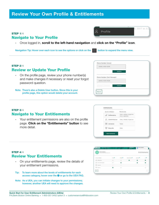## <span id="page-5-0"></span>Review Your Own Profile & Entitlements

#### STEP 1/4 Navigate to Your Profile

• Once logged in, scroll to the left-hand navigation and click on the "Profile" icon.

Navigation Tip: Hover over each icon to see the options or click on the **button to expand the menu view.** 

#### **STEP 2/4** Review or Update Your Profile

• On the profile page, review your phone number(s) and make changes if necessary or reset your forgot password question.

Note: There's also a Delete User button. Since this is your profile page, this option would delete your account.



Profile

5, 2017 at 3

#### STEP 3/4 Navigate to Your Entitlements

• Your entitlement permissions are also on the profile page. Click on the "Entitlements" button to see more detail.



#### **STEP 4/4** Review Your Entitlements

- On your entitlements page, review the details of your entitlement permissions.
- Tip: To learn more about the levels of entitlements for each access category, hover over the  $\bullet$  or go to the UEA FAQ.
- Note: As a UEA, you can initiate changes to your permissions; however, another UEA will need to approve the changes.

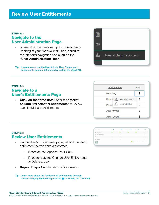#### <span id="page-6-0"></span>STEP 1/3 Navigate to the User Administration Page

the left-hand navigation and **click** on the • To see all of the users set up to access Online Banking at your financial institution, scroll to "User Administration" icon.



Tip: Learn more about the User Admin, User Status, and Entitlements column definitions by visiting the UEA FAQ.

#### STEP 2/3 Navigate to a User's Entitlements Page

• Click on the three dots under the "More" column and select "Entitlements" to review each individual's entitlements.

| <b>↓ Entitlements</b> |                      | More |
|-----------------------|----------------------|------|
| Pending               |                      |      |
|                       | Pendi & Entitlements |      |
|                       | Pend & User Status   |      |
| Approved              |                      |      |
| Approved              |                      |      |

#### **STEP 3/3** Review User Entitlements

- On the User's Entitlements page, verify if the user's entitlement permissions are correct.
	- If correct, see [Approve Your User.](#page-7-0)
	- If not correct, see [Change User Entitlements](#page-8-0) or [Delete a User.](#page-10-0)
- Repeat Steps 1 3 for each of your users.
- Tip: Learn more about the five levels of entitlements for each access category by hovering over the  $\bigcirc$  or visiting the UEA FAQ.

| 44,925<br>and Citizens    |     | 19814 | <b>CONTRACTOR</b><br><b><i><u>Contact Warrent Warrent Warrent Warrent Warrent Warrent Warrent Warrent Warrent Warrent Warrent Warrent Warrent Warrent Warrent Warrent Warrent Warrent Warrent Warrent Warrent Warrent Warrent Warrent Warrent Warrent War</u></i></b> | in a               | ú# |
|---------------------------|-----|-------|-----------------------------------------------------------------------------------------------------------------------------------------------------------------------------------------------------------------------------------------------------------------------|--------------------|----|
| æ<br>-                    |     |       |                                                                                                                                                                                                                                                                       |                    |    |
|                           | 出   |       |                                                                                                                                                                                                                                                                       | ×                  | x  |
| <b>ITI-sampai</b>         | ٠   |       |                                                                                                                                                                                                                                                                       |                    |    |
| a ser<br>$\sim$<br>von D. | ٠   | n.    |                                                                                                                                                                                                                                                                       |                    | ×  |
| 54.18                     | . . |       |                                                                                                                                                                                                                                                                       | ing a light permit |    |
|                           |     |       |                                                                                                                                                                                                                                                                       |                    |    |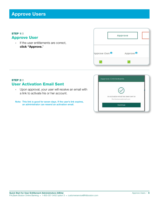## <span id="page-7-0"></span>Approve Users

#### STEP 1/2 Approve User

• If the user entitlements are correct, click "Approve."

|                          | Approve              |
|--------------------------|----------------------|
| Approve Own <sup>0</sup> | Approve <sup>0</sup> |
|                          |                      |

#### STEP 2/2 User Activation Email Sent

- Upon approval, your user will receive an email with a link to activate his or her account.
- Note: This link is good for seven days. If the user's link expires, an administrator can resend an activation email.

| An activation email has been sent to |  |
|--------------------------------------|--|
| first.lastname@email.com             |  |
| Continue                             |  |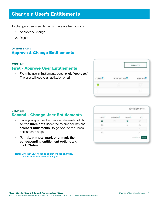## <span id="page-8-0"></span>Change a User's Entitlements

To change a user's entitlements, there are two options:

- 1. Approve & Change
- 2. Reject

#### OPTION 1 OF 2 Approve & Change Entitlements

#### STEP 1/2 First - Approve User Entitlements

• From the user's Entitlements page, **click "Approve.**" The user will receive an activation email.



#### STEP 2/2 Second - Change User Entitlements

- Once you approve the user's entitlements, **click** on the three dots under the "More" column and select "Entitlements" to go back to the user's entitlements page.
- To make changes, **mark or unmark the** corresponding entitlement options and click "Submit."

Note: Another UEA needs to approve these changes. See [Review Entitlement Changes.](#page-12-0)

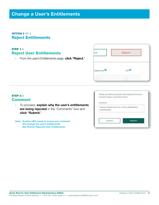## Change a User's Entitlements

#### OPTION 2 OF 2 Reject Entitlements

#### STEP 1/2 Reject User Entitlements

• From the user's Entitlements page, click "Reject."



#### STEP 2/2 Comment

- To proceed, explain why the user's entitlements are being rejected in the "Comments" box and click "Submit."
- Note: Another UEA needs to review your comment and change the user's entitlements. See [Review Rejected User Entitlements](#page-14-0).

Would you like to proceed with rejecting the user creation? Input comments below.

Denise should have ALL of the safekeeping entitlements.

Comments

Cancel

Submit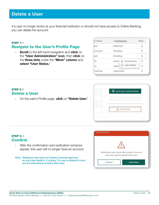## <span id="page-10-0"></span>Delete a User

If a user no longer works at your financial institution or should not have access to Online Banking, you can delete the account.

#### STEP 1/3 Navigate to the User's Profile Page

• Scroll to the left-hand navigation and click on the "User Administration" icon, then click on the **three dots** under the "More" column and select "User Status."

| er Status       | <b>↓ Entitlements</b>                 | More |
|-----------------|---------------------------------------|------|
| <b>jed</b>      | Rejected                              |      |
| <i>risioned</i> | Pending                               |      |
| jed             | Pending                               |      |
| ve              | Appri & Entitlements                  |      |
| ve              | <b>User Status</b><br>Appro<br>$\geq$ | ፧    |
| <i>risioned</i> | Approved                              |      |

#### STEP 2/3 Delete a User

• On the user's Profile page, **click** on "Delete User."



#### **STEP 3/3** Confirm

- After the confirmation and verification windows appear, this user will no longer have an account.
- Note: Deleting a user does not require a second approver, so once you delete it, it is gone. If a user is deleted in error, see the instructions to [Add a New User.](#page-11-0)

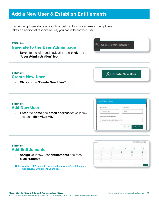## <span id="page-11-0"></span>Add a New User & Establish Entitlements

If a new employee starts at your financial institution or an existing employee takes on additional responsibilities, you can add another user.

#### STEP 1/4 Navigate to the User Admin page

**Scroll** to the left-hand navigation and **click** on the "User Administration" icon.

#### STEP 2/4 Create New User

• Click on the "Create New User" button.

#### STEP 3/4 Add New User

STEP 4/4

Add Entitlements

click "Submit."

• Enter the name and email address for your new user and click "Submit."

• Assign your new user entitlements and then

See [Review Entitlement Changes.](#page-12-0)

Note: Another UEA needs to approve the new user's entitlements.

þ.

Entitlements

si h

×.

Add a New User & Establish Entitlements • 10



فلبين

| First Name                | Last Name |
|---------------------------|-----------|
| Cindy-Lou                 |           |
| Username/Email Address    |           |
| cindylou.who@testbank.com |           |



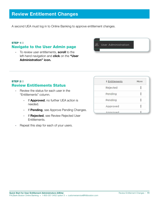## <span id="page-12-0"></span>Review Entitlement Changes

A second UEA must log in to Online Banking to approve entitlement changes.

#### STEP 1/2 Navigate to the User Admin page

• To review user entitlements, scroll to the left-hand navigation and click on the "User Administration" icon.



#### STEP 2/2 Review Entitlements Status

- Review the status for each user in the "Entitlements" column.
	- If **Approved**, no further UEA action is needed.
	- If Pending, see [Approve Pending Changes.](#page-13-0)
	- **If Rejected, see Review Rejected User** [Entitlements](#page-14-0).
- Repeat this step for each of your users.

| <b>I</b> Entitlements | More |
|-----------------------|------|
| Rejected              |      |
| Pending               |      |
| Pending               |      |
| Approved              |      |
| Annroyad              |      |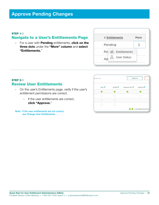#### <span id="page-13-0"></span>STEP 1/2

#### Navigate to a User's Entitlements Page

• For a user with **Pending** entitlements, click on the three dots under the "More" column and select "Entitlements."

| <b>‡ Entitlements</b> |                    | More |
|-----------------------|--------------------|------|
| Pending               |                    |      |
|                       | Pel & Entitlements |      |
|                       | <b>User Status</b> |      |

#### STEP 2/2 Review User Entitlements

- On the user's Entitlements page, verify if the user's entitlement permissions are correct.
	- If the user entitlements are correct, click "Approve."

Note: If the user entitlements are not correct, see [Change User Entitlements.](#page-8-0)

| View <sup>1</sup> | initiate <sup>O</sup> | Approve Own<br>70 H | Approve <sup>0</sup> |
|-------------------|-----------------------|---------------------|----------------------|
|                   |                       |                     |                      |
| m                 | n                     |                     | m                    |
| Ð                 |                       |                     |                      |
| 面                 | ١ū                    |                     |                      |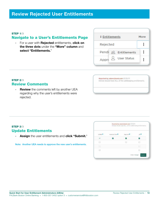#### <span id="page-14-0"></span>STEP 1/3

#### Navigate to a User's Entitlements Page

• For a user with **Rejected** entitlements, **click on** the three dots under the "More" column and select "Entitlements."

|          | <b>↓ Entitlements</b> | More |
|----------|-----------------------|------|
| Rejected |                       |      |
|          | Pendi & Entitlements  |      |
| Appro    | <b>User Status</b>    |      |

#### STEP 2/3 Review Comments

• Review the comments left by another UEA regarding why the user's entitlements were rejected.



Denise should have ALL of the safekeeping entitlements.

#### STEP 3/3 Update Entitlements

• Assign the user entitlements and click "Submit."

Note: Another UEA needs to approve the new user's entitlements.

| initiate <sup>0</sup> | Approve Own | Approve 0 |    |
|-----------------------|-------------|-----------|----|
|                       |             | ᢦ         | v  |
| nim<br>- 13           |             | 江         | n  |
| w                     |             |           | IJ |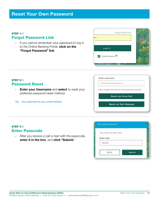#### <span id="page-15-0"></span>STEP 1/5 Forgot Password Link

• If you cannot remember your password to log in to the Online Banking Portal, click on the "Forgot Password" link.



#### **STEP 2/5** Password Reset

• Enter your Username and select to reset your preferred password reset method.

Tip: Your Username is your email address.

**Enter Username** 

first.lastname@email.com

How would you like to reset your password?

**Reset via Voice Call** 

**Reset via Text Message** 

#### **STEP 3/5** Enter Passcode

• After you receive a call or text with the passcode, enter it in the box, and click "Submit."

| Your code has been sent. |               |
|--------------------------|---------------|
| Enter code               |               |
| 960216                   |               |
|                          |               |
| Back                     | <b>Submit</b> |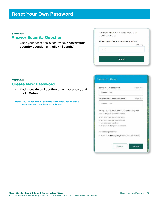## Reset Your Own Password

#### **STEP 4/5**

#### Answer Security Question

• Once your passcode is confirmed, answer your security question and click "Submit."

Passcode confirmed. Please answer your security question:

#### What is your favorite security question?

|        | Show © |
|--------|--------|
|        |        |
|        |        |
|        |        |
| Submit |        |

#### STEP 5/5 Create New Password

- Finally, create and confirm a new password, and click "Submit."
- Note: You will receive a Password Alert email, noting that a new password has been established.

| Confirm your new password                       | Show C |
|-------------------------------------------------|--------|
|                                                 |        |
| Your password be at least 8 characters long and |        |
| must contain the criteria below:                |        |
| · At least one uppercase letter                 |        |
| · At least one lowercase letter                 |        |
| · At least one number                           |        |
| · Cannot match your username                    |        |
| Additional guidelines:                          |        |
| · Cannot match any of your last four passwords  |        |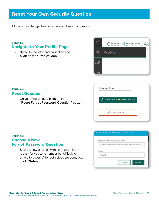## <span id="page-17-0"></span>Reset Your Own Security Question

All users can change their own password security question.

#### STEP 1/5 Navigate to Your Profile Page

• Scroll to the left-hand navigation and click on the "Profile" icon.



| <b>STEP 2/5</b><br><b>Reset Question</b>                                                           | <b>More Actions</b>                                         |
|----------------------------------------------------------------------------------------------------|-------------------------------------------------------------|
| On your Profile page, <b>click</b> on the<br>$\bullet$<br>"Reset Forgot Password Question" button. | <b>Reset Forgot Password Question</b><br><b>Delete User</b> |

#### **STEP 3/5** Choose a New Forgot Password Question

• Select a new question with an answer that is easy for you to remember but difficult for others to guess. After both steps are complete, click "Submit."

|                                                                   | Choose a forgot password question |  |
|-------------------------------------------------------------------|-----------------------------------|--|
| What was the mascot of the first sports team you played $\sqrt{}$ |                                   |  |
|                                                                   |                                   |  |
| 1201-001-021<br>Answer                                            |                                   |  |
| Pirates                                                           |                                   |  |
|                                                                   |                                   |  |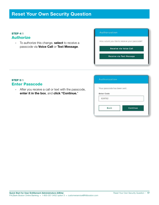## Reset Your Own Security Question

#### STEP 4/5 **Authorize**

• To authorize this change, **select** to receive a passcode via Voice Call or Text Message.

| Authorization                                |
|----------------------------------------------|
| How would you like to receive your passcode? |
| Receive via Voice Call                       |
| Receive via Text Message                     |

#### STEP 5/5 Enter Passcode

• After you receive a call or text with the passcode, enter it in the box, and click "Continue."

| Authorization                |          |
|------------------------------|----------|
| Your passcode has been sent. |          |
| <b>Enter Code</b>            |          |
| 624762                       |          |
|                              |          |
| Back                         | Continue |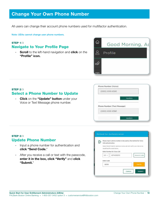## <span id="page-19-0"></span>Change Your Own Phone Number

All users can change their account phone numbers used for multifactor authentication.

Note: UEAs cannot change user phone numbers.

#### **STEP 1/3** Navigate to Your Profile Page

• Scroll to the left-hand navigation and click on the "Profile" icon.



#### STEP 2/3 Select a Phone Number to Update

• Click on the "Update" button under your Voice or Text Message phone number.

| (XXX) XXX-X541              |              |
|-----------------------------|--------------|
|                             | Update<br>ċ, |
|                             |              |
| Phone Number (Text Message) |              |

#### STEP 3/3 Update Phone Number

- Input a phone number for authentication and click "Send Code."
- After you receive a call or text with the passcode, enter it in the box, click "Verify" and click "Submit."

| ū١ | Please input a phone number to be used as the method for Voice<br>Call authentication.          |                             |  |                    |
|----|-------------------------------------------------------------------------------------------------|-----------------------------|--|--------------------|
|    | Select Send Code to receive a voice call and varify your device by<br>inputting the code below. |                             |  |                    |
|    |                                                                                                 | Enter Number for Voice Call |  |                    |
|    | $US \vee$                                                                                       | 6174259572                  |  | <b>Resend Code</b> |
|    | Enter Code                                                                                      |                             |  |                    |
|    | 58186                                                                                           |                             |  | Vollfy             |